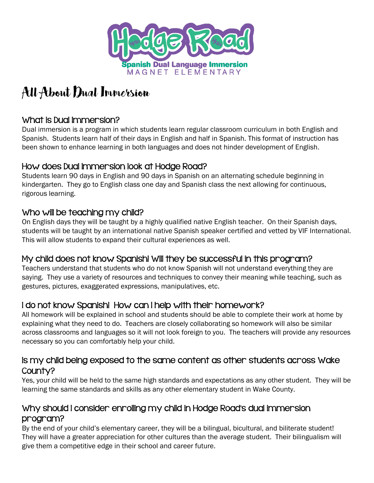

# All About Dual Immersion

# What is Dual Immersion?

Dual immersion is a program in which students learn regular classroom curriculum in both English and Spanish. Students learn half of their days in English and half in Spanish. This format of instruction has been shown to enhance learning in both languages and does not hinder development of English.

## How does Dual Immersion look at Hodge Road?

Students learn 90 days in English and 90 days in Spanish on an alternating schedule beginning in kindergarten. They go to English class one day and Spanish class the next allowing for continuous, rigorous learning.

## Who will be teaching my child?

On English days they will be taught by a highly qualified native English teacher. On their Spanish days, students will be taught by an international native Spanish speaker certified and vetted by VIF International. This will allow students to expand their cultural experiences as well.

# My child does not know Spanish! Will they be successful in this program?

Teachers understand that students who do not know Spanish will not understand everything they are saying. They use a variety of resources and techniques to convey their meaning while teaching, such as gestures, pictures, exaggerated expressions, manipulatives, etc.

# I do not know Spanish! How can I help with their homework?

All homework will be explained in school and students should be able to complete their work at home by explaining what they need to do. Teachers are closely collaborating so homework will also be similar across classrooms and languages so it will not look foreign to you. The teachers will provide any resources necessary so you can comfortably help your child.

#### Is my child being exposed to the same content as other students across Wake County?

Yes, your child will be held to the same high standards and expectations as any other student. They will be learning the same standards and skills as any other elementary student in Wake County.

# Why should I consider enrolling my child in Hodge Road's dual immersion program?

By the end of your child's elementary career, they will be a bilingual, bicultural, and biliterate student! They will have a greater appreciation for other cultures than the average student. Their bilingualism will give them a competitive edge in their school and career future.